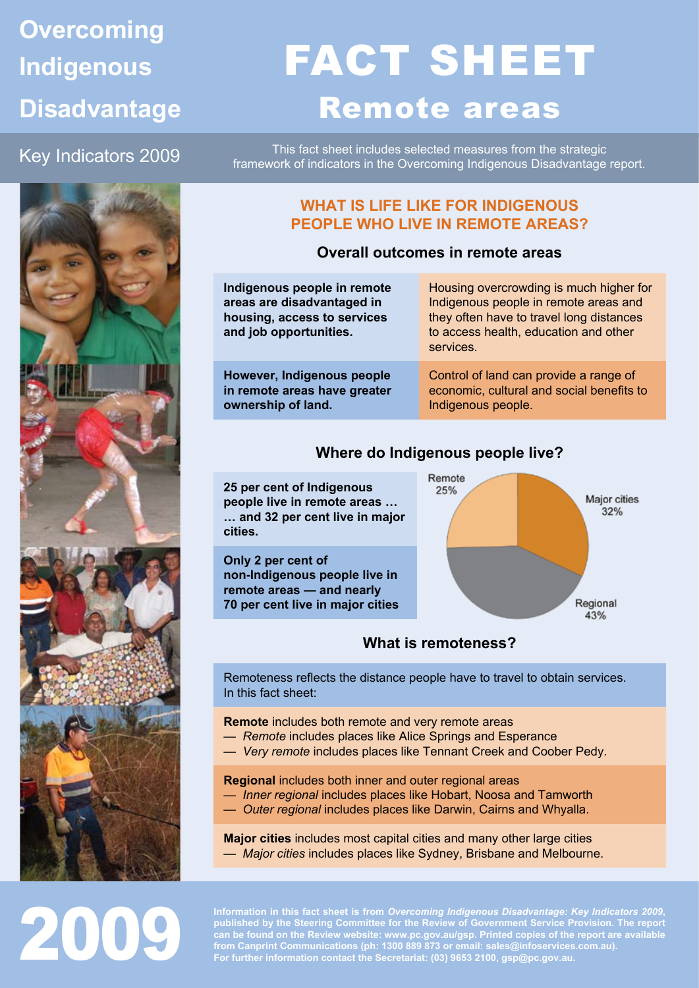### **Overcoming Indigenous Disadvantage**

## FACT SHEET Remote areas

Key Indicators 2009

This fact sheet includes selected measures from the strategic framework of indicators in the Overcoming Indigenous Disadvantage report.



2009

#### **WHAT IS LIFE LIKE FOR INDIGENOUS PEOPLE WHO LIVE IN REMOTE AREAS?**

#### **Overall outcomes in remote areas**

| Indigenous people in remote<br>areas are disadvantaged in<br>housing, access to services<br>and job opportunities. | Housing overcrowding is much higher for<br>Indigenous people in remote areas and<br>they often have to travel long distances<br>to access health, education and other<br>services. |
|--------------------------------------------------------------------------------------------------------------------|------------------------------------------------------------------------------------------------------------------------------------------------------------------------------------|
| <b>However, Indigenous people</b>                                                                                  | Control of land can provide a range of                                                                                                                                             |
| in remote areas have greater                                                                                       | economic, cultural and social benefits to                                                                                                                                          |
| ownership of land.                                                                                                 | Indigenous people.                                                                                                                                                                 |

#### **Where do Indigenous people live?**

**25 per cent of Indigenous people live in remote areas … … and 32 per cent live in major cities.**

**Only 2 per cent of non-Indigenous people live in remote areas — and nearly 70 per cent live in major cities**



#### **What is remoteness?**

Remoteness reflects the distance people have to travel to obtain services. In this fact sheet:

**Remote** includes both remote and very remote areas

- *Remote* includes places like Alice Springs and Esperance
- *Very remote* includes places like Tennant Creek and Coober Pedy.

**Regional** includes both inner and outer regional areas

- *Inner regional* includes places like Hobart, Noosa and Tamworth
- *Outer regional* includes places like Darwin, Cairns and Whyalla.

**Major cities** includes most capital cities and many other large cities — *Major cities* includes places like Sydney, Brisbane and Melbourne.

**Information in this fact sheet is from** *Overcoming Indigenous Disadvantage: Key Indicators 2009***, published by the Steering Committee for the Review of Government Service Provision. The report can be found on the Review website: www.pc.gov.au/gsp. Printed copies of the report are available from Canprint Communications (ph: 1300 889 873 or email: sales@infoservices.com.au). For further information contact the Secretariat: (03) 9653 2100, gsp@pc.gov.au.**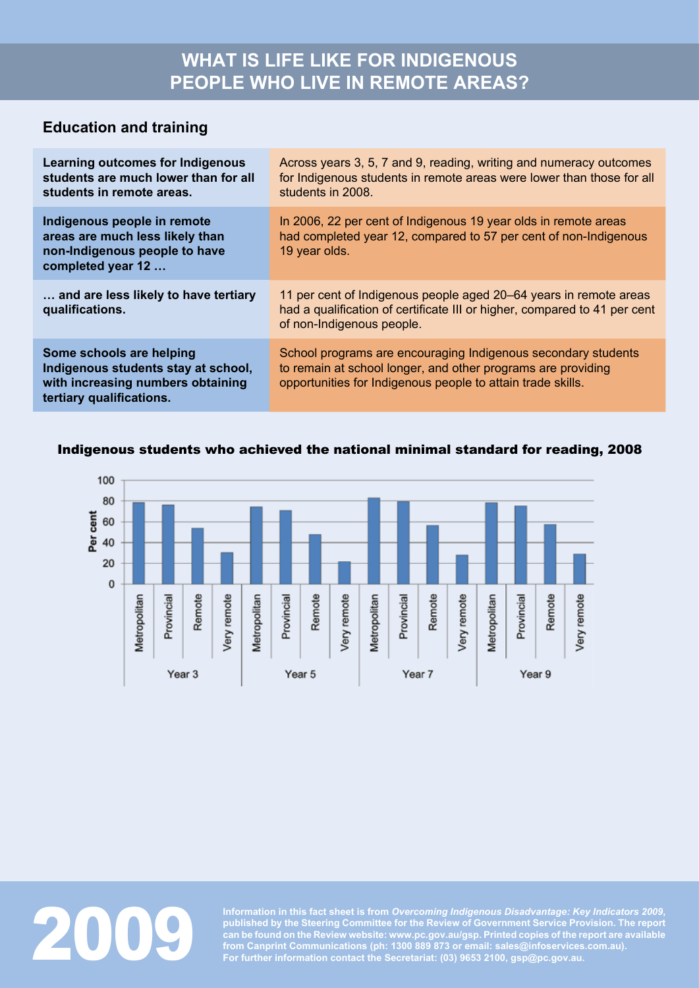#### **Education and training**

| <b>Learning outcomes for Indigenous</b><br>students are much lower than for all<br>students in remote areas.                     | Across years 3, 5, 7 and 9, reading, writing and numeracy outcomes<br>for Indigenous students in remote areas were lower than those for all<br>students in 2008.                             |
|----------------------------------------------------------------------------------------------------------------------------------|----------------------------------------------------------------------------------------------------------------------------------------------------------------------------------------------|
| Indigenous people in remote<br>areas are much less likely than<br>non-Indigenous people to have<br>completed year 12             | In 2006, 22 per cent of Indigenous 19 year olds in remote areas<br>had completed year 12, compared to 57 per cent of non-Indigenous<br>19 year olds.                                         |
| and are less likely to have tertiary<br>qualifications.                                                                          | 11 per cent of Indigenous people aged 20–64 years in remote areas<br>had a qualification of certificate III or higher, compared to 41 per cent<br>of non-Indigenous people.                  |
| Some schools are helping<br>Indigenous students stay at school,<br>with increasing numbers obtaining<br>tertiary qualifications. | School programs are encouraging Indigenous secondary students<br>to remain at school longer, and other programs are providing<br>opportunities for Indigenous people to attain trade skills. |

#### Indigenous students who achieved the national minimal standard for reading, 2008





Information in this fact sheet is from *Overcoming Indigenous Disadvantage: Key Indicators 2009*, published by the Steering Committee for the Review of Government Service Provision. The report can be found on the Review we **published by the Steering Committee for the Review of Government Service Provision. The report can be found on the Review website: www.pc.gov.au/gsp. Printed copies of the report are available from Canprint Communications (ph: 1300 889 873 or email: sales@infoservices.com.au). For further information contact the Secretariat: (03) 9653 2100, gsp@pc.gov.au.**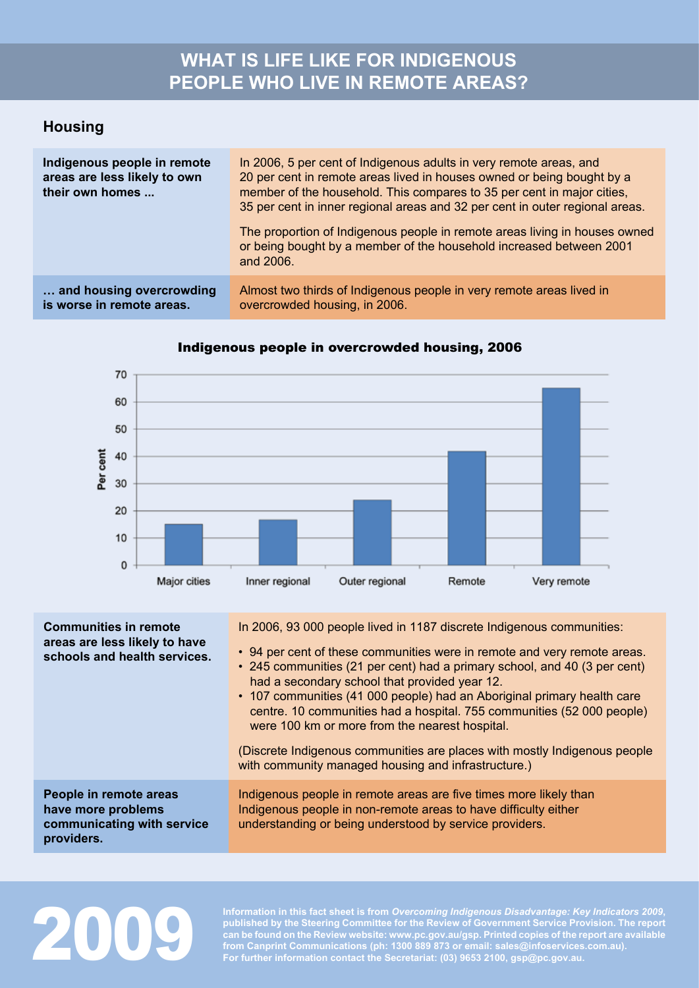#### **WHAT IS LIFE LIKE FOR INDIGENOUS PEOPLE WHO LIVE IN REMOTE AREAS?**

#### **Housing**

| Indigenous people in remote<br>areas are less likely to own<br>their own homes | In 2006, 5 per cent of Indigenous adults in very remote areas, and<br>20 per cent in remote areas lived in houses owned or being bought by a<br>member of the household. This compares to 35 per cent in major cities,<br>35 per cent in inner regional areas and 32 per cent in outer regional areas. |  |
|--------------------------------------------------------------------------------|--------------------------------------------------------------------------------------------------------------------------------------------------------------------------------------------------------------------------------------------------------------------------------------------------------|--|
|                                                                                | The proportion of Indigenous people in remote areas living in houses owned<br>or being bought by a member of the household increased between 2001<br>and 2006.                                                                                                                                         |  |
| and housing overcrowding<br>is worse in remote areas.                          | Almost two thirds of Indigenous people in very remote areas lived in<br>overcrowded housing, in 2006.                                                                                                                                                                                                  |  |



#### Indigenous people in overcrowded housing, 2006

| <b>Communities in remote</b><br>areas are less likely to have<br>schools and health services. | In 2006, 93 000 people lived in 1187 discrete Indigenous communities:<br>• 94 per cent of these communities were in remote and very remote areas.<br>• 245 communities (21 per cent) had a primary school, and 40 (3 per cent)<br>had a secondary school that provided year 12.<br>• 107 communities (41 000 people) had an Aboriginal primary health care<br>centre. 10 communities had a hospital. 755 communities (52 000 people)<br>were 100 km or more from the nearest hospital.<br>(Discrete Indigenous communities are places with mostly Indigenous people<br>with community managed housing and infrastructure.) |
|-----------------------------------------------------------------------------------------------|----------------------------------------------------------------------------------------------------------------------------------------------------------------------------------------------------------------------------------------------------------------------------------------------------------------------------------------------------------------------------------------------------------------------------------------------------------------------------------------------------------------------------------------------------------------------------------------------------------------------------|
| People in remote areas<br>have more problems<br>communicating with service<br>providers.      | Indigenous people in remote areas are five times more likely than<br>Indigenous people in non-remote areas to have difficulty either<br>understanding or being understood by service providers.                                                                                                                                                                                                                                                                                                                                                                                                                            |

# 200

**Information in this fact sheet is from** *Overcoming Indigenous Disadvantage: Key Indicators 2009***, published by the Steering Committee for the Review of Government Service Provision. The report can be found on the Review website: www.pc.gov.au/gsp. Printed copies of the report are available from Canprint Communications (ph: 1300 889 873 or email: sales@infoservices.com.au). For further information contact the Secretariat: (03) 9653 2100, gsp@pc.gov.au.**